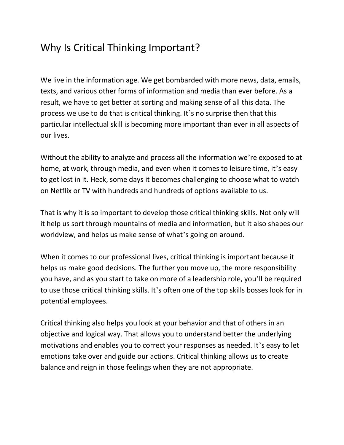## Why Is Critical Thinking Important?

We live in the information age. We get bombarded with more news, data, emails, texts, and various other forms of information and media than ever before. As a result, we have to get better at sorting and making sense of all this data. The process we use to do that is critical thinking. It's no surprise then that this particular intellectual skill is becoming more important than ever in all aspects of our lives.

Without the ability to analyze and process all the information we're exposed to at home, at work, through media, and even when it comes to leisure time, it's easy to get lost in it. Heck, some days it becomes challenging to choose what to watch on Netflix or TV with hundreds and hundreds of options available to us.

That is why it is so important to develop those critical thinking skills. Not only will it help us sort through mountains of media and information, but it also shapes our worldview, and helps us make sense of what's going on around.

When it comes to our professional lives, critical thinking is important because it helps us make good decisions. The further you move up, the more responsibility you have, and as you start to take on more of a leadership role, you'll be required to use those critical thinking skills. It's often one of the top skills bosses look for in potential employees.

Critical thinking also helps you look at your behavior and that of others in an objective and logical way. That allows you to understand better the underlying motivations and enables you to correct your responses as needed. It's easy to let emotions take over and guide our actions. Critical thinking allows us to create balance and reign in those feelings when they are not appropriate.